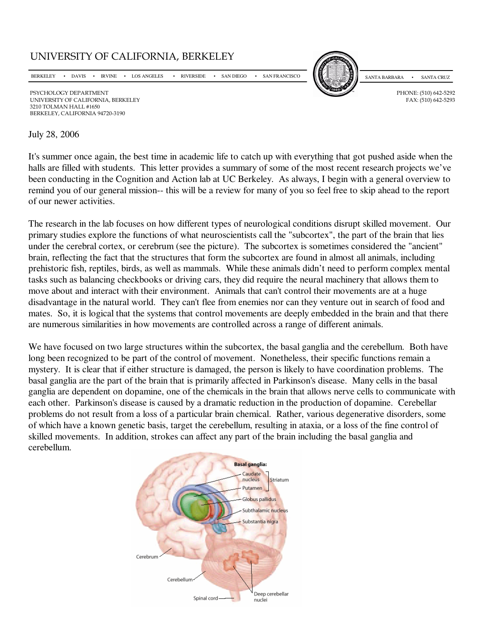

BERKELEY, CALIFORNIA 94720-3190

## July 28, 2006

It's summer once again, the best time in academic life to catch up with everything that got pushed aside when the halls are filled with students. This letter provides a summary of some of the most recent research projects we've been conducting in the Cognition and Action lab at UC Berkeley. As always, I begin with a general overview to remind you of our general mission-- this will be a review for many of you so feel free to skip ahead to the report of our newer activities.

The research in the lab focuses on how different types of neurological conditions disrupt skilled movement. Our primary studies explore the functions of what neuroscientists call the "subcortex", the part of the brain that lies under the cerebral cortex, or cerebrum (see the picture). The subcortex is sometimes considered the "ancient" brain, reflecting the fact that the structures that form the subcortex are found in almost all animals, including prehistoric fish, reptiles, birds, as well as mammals. While these animals didn't need to perform complex mental tasks such as balancing checkbooks or driving cars, they did require the neural machinery that allows them to move about and interact with their environment. Animals that can't control their movements are at a huge disadvantage in the natural world. They can't flee from enemies nor can they venture out in search of food and mates. So, it is logical that the systems that control movements are deeply embedded in the brain and that there are numerous similarities in how movements are controlled across a range of different animals.

We have focused on two large structures within the subcortex, the basal ganglia and the cerebellum. Both have long been recognized to be part of the control of movement. Nonetheless, their specific functions remain a mystery. It is clear that if either structure is damaged, the person is likely to have coordination problems. The basal ganglia are the part of the brain that is primarily affected in Parkinson's disease. Many cells in the basal ganglia are dependent on dopamine, one of the chemicals in the brain that allows nerve cells to communicate with each other. Parkinson's disease is caused by a dramatic reduction in the production of dopamine. Cerebellar problems do not result from a loss of a particular brain chemical. Rather, various degenerative disorders, some of which have a known genetic basis, target the cerebellum, resulting in ataxia, or a loss of the fine control of skilled movements. In addition, strokes can affect any part of the brain including the basal ganglia and cerebellum.

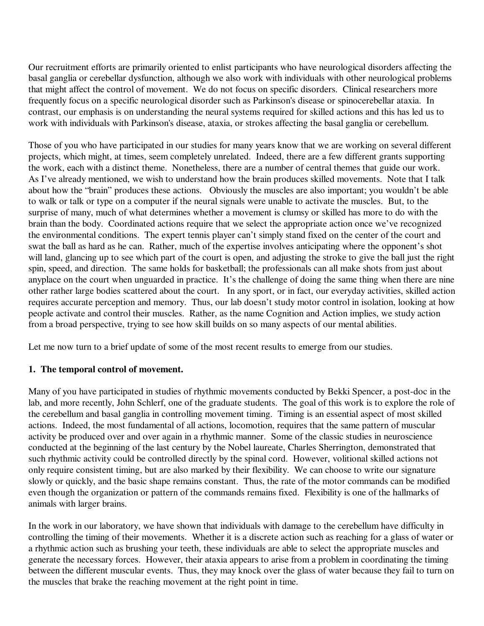Our recruitment efforts are primarily oriented to enlist participants who have neurological disorders affecting the basal ganglia or cerebellar dysfunction, although we also work with individuals with other neurological problems that might affect the control of movement. We do not focus on specific disorders. Clinical researchers more frequently focus on a specific neurological disorder such as Parkinson's disease or spinocerebellar ataxia. In contrast, our emphasis is on understanding the neural systems required for skilled actions and this has led us to work with individuals with Parkinson's disease, ataxia, or strokes affecting the basal ganglia or cerebellum.

Those of you who have participated in our studies for many years know that we are working on several different projects, which might, at times, seem completely unrelated. Indeed, there are a few different grants supporting the work, each with a distinct theme. Nonetheless, there are a number of central themes that guide our work. As I've already mentioned, we wish to understand how the brain produces skilled movements. Note that I talk about how the "brain" produces these actions. Obviously the muscles are also important; you wouldn't be able to walk or talk or type on a computer if the neural signals were unable to activate the muscles. But, to the surprise of many, much of what determines whether a movement is clumsy or skilled has more to do with the brain than the body. Coordinated actions require that we select the appropriate action once we've recognized the environmental conditions. The expert tennis player can't simply stand fixed on the center of the court and swat the ball as hard as he can. Rather, much of the expertise involves anticipating where the opponent's shot will land, glancing up to see which part of the court is open, and adjusting the stroke to give the ball just the right spin, speed, and direction. The same holds for basketball; the professionals can all make shots from just about anyplace on the court when unguarded in practice. It's the challenge of doing the same thing when there are nine other rather large bodies scattered about the court. In any sport, or in fact, our everyday activities, skilled action requires accurate perception and memory. Thus, our lab doesn't study motor control in isolation, looking at how people activate and control their muscles. Rather, as the name Cognition and Action implies, we study action from a broad perspective, trying to see how skill builds on so many aspects of our mental abilities.

Let me now turn to a brief update of some of the most recent results to emerge from our studies.

# **1. The temporal control of movement.**

Many of you have participated in studies of rhythmic movements conducted by Bekki Spencer, a post-doc in the lab, and more recently, John Schlerf, one of the graduate students. The goal of this work is to explore the role of the cerebellum and basal ganglia in controlling movement timing. Timing is an essential aspect of most skilled actions. Indeed, the most fundamental of all actions, locomotion, requires that the same pattern of muscular activity be produced over and over again in a rhythmic manner. Some of the classic studies in neuroscience conducted at the beginning of the last century by the Nobel laureate, Charles Sherrington, demonstrated that such rhythmic activity could be controlled directly by the spinal cord. However, volitional skilled actions not only require consistent timing, but are also marked by their flexibility. We can choose to write our signature slowly or quickly, and the basic shape remains constant. Thus, the rate of the motor commands can be modified even though the organization or pattern of the commands remains fixed. Flexibility is one of the hallmarks of animals with larger brains.

In the work in our laboratory, we have shown that individuals with damage to the cerebellum have difficulty in controlling the timing of their movements. Whether it is a discrete action such as reaching for a glass of water or a rhythmic action such as brushing your teeth, these individuals are able to select the appropriate muscles and generate the necessary forces. However, their ataxia appears to arise from a problem in coordinating the timing between the different muscular events. Thus, they may knock over the glass of water because they fail to turn on the muscles that brake the reaching movement at the right point in time.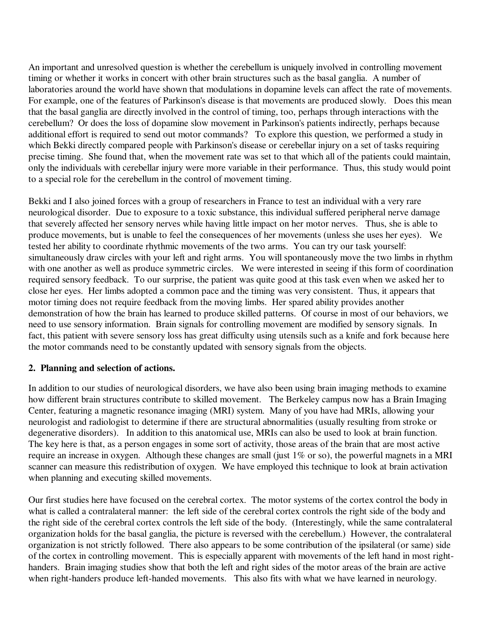An important and unresolved question is whether the cerebellum is uniquely involved in controlling movement timing or whether it works in concert with other brain structures such as the basal ganglia. A number of laboratories around the world have shown that modulations in dopamine levels can affect the rate of movements. For example, one of the features of Parkinson's disease is that movements are produced slowly. Does this mean that the basal ganglia are directly involved in the control of timing, too, perhaps through interactions with the cerebellum? Or does the loss of dopamine slow movement in Parkinson's patients indirectly, perhaps because additional effort is required to send out motor commands? To explore this question, we performed a study in which Bekki directly compared people with Parkinson's disease or cerebellar injury on a set of tasks requiring precise timing. She found that, when the movement rate was set to that which all of the patients could maintain, only the individuals with cerebellar injury were more variable in their performance. Thus, this study would point to a special role for the cerebellum in the control of movement timing.

Bekki and I also joined forces with a group of researchers in France to test an individual with a very rare neurological disorder. Due to exposure to a toxic substance, this individual suffered peripheral nerve damage that severely affected her sensory nerves while having little impact on her motor nerves. Thus, she is able to produce movements, but is unable to feel the consequences of her movements (unless she uses her eyes). We tested her ability to coordinate rhythmic movements of the two arms. You can try our task yourself: simultaneously draw circles with your left and right arms. You will spontaneously move the two limbs in rhythm with one another as well as produce symmetric circles. We were interested in seeing if this form of coordination required sensory feedback. To our surprise, the patient was quite good at this task even when we asked her to close her eyes. Her limbs adopted a common pace and the timing was very consistent. Thus, it appears that motor timing does not require feedback from the moving limbs. Her spared ability provides another demonstration of how the brain has learned to produce skilled patterns. Of course in most of our behaviors, we need to use sensory information. Brain signals for controlling movement are modified by sensory signals. In fact, this patient with severe sensory loss has great difficulty using utensils such as a knife and fork because here the motor commands need to be constantly updated with sensory signals from the objects.

## **2. Planning and selection of actions.**

In addition to our studies of neurological disorders, we have also been using brain imaging methods to examine how different brain structures contribute to skilled movement. The Berkeley campus now has a Brain Imaging Center, featuring a magnetic resonance imaging (MRI) system. Many of you have had MRIs, allowing your neurologist and radiologist to determine if there are structural abnormalities (usually resulting from stroke or degenerative disorders). In addition to this anatomical use, MRIs can also be used to look at brain function. The key here is that, as a person engages in some sort of activity, those areas of the brain that are most active require an increase in oxygen. Although these changes are small (just 1% or so), the powerful magnets in a MRI scanner can measure this redistribution of oxygen. We have employed this technique to look at brain activation when planning and executing skilled movements.

Our first studies here have focused on the cerebral cortex. The motor systems of the cortex control the body in what is called a contralateral manner: the left side of the cerebral cortex controls the right side of the body and the right side of the cerebral cortex controls the left side of the body. (Interestingly, while the same contralateral organization holds for the basal ganglia, the picture is reversed with the cerebellum.) However, the contralateral organization is not strictly followed. There also appears to be some contribution of the ipsilateral (or same) side of the cortex in controlling movement. This is especially apparent with movements of the left hand in most righthanders. Brain imaging studies show that both the left and right sides of the motor areas of the brain are active when right-handers produce left-handed movements. This also fits with what we have learned in neurology.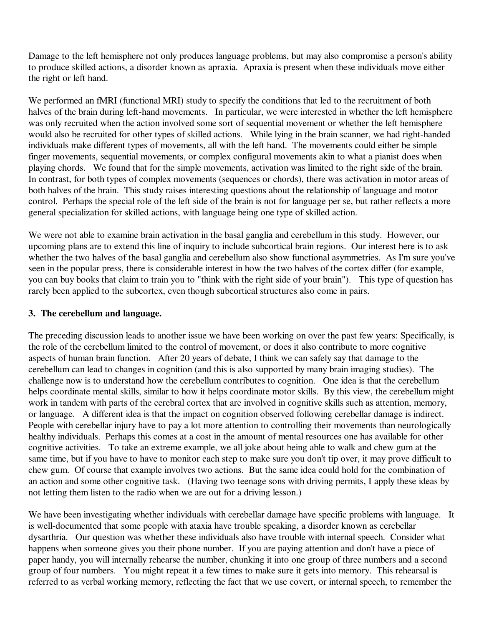Damage to the left hemisphere not only produces language problems, but may also compromise a person's ability to produce skilled actions, a disorder known as apraxia. Apraxia is present when these individuals move either the right or left hand.

We performed an fMRI (functional MRI) study to specify the conditions that led to the recruitment of both halves of the brain during left-hand movements. In particular, we were interested in whether the left hemisphere was only recruited when the action involved some sort of sequential movement or whether the left hemisphere would also be recruited for other types of skilled actions. While lying in the brain scanner, we had right-handed individuals make different types of movements, all with the left hand. The movements could either be simple finger movements, sequential movements, or complex configural movements akin to what a pianist does when playing chords. We found that for the simple movements, activation was limited to the right side of the brain. In contrast, for both types of complex movements (sequences or chords), there was activation in motor areas of both halves of the brain. This study raises interesting questions about the relationship of language and motor control. Perhaps the special role of the left side of the brain is not for language per se, but rather reflects a more general specialization for skilled actions, with language being one type of skilled action.

We were not able to examine brain activation in the basal ganglia and cerebellum in this study. However, our upcoming plans are to extend this line of inquiry to include subcortical brain regions. Our interest here is to ask whether the two halves of the basal ganglia and cerebellum also show functional asymmetries. As I'm sure you've seen in the popular press, there is considerable interest in how the two halves of the cortex differ (for example, you can buy books that claim to train you to "think with the right side of your brain"). This type of question has rarely been applied to the subcortex, even though subcortical structures also come in pairs.

# **3. The cerebellum and language.**

The preceding discussion leads to another issue we have been working on over the past few years: Specifically, is the role of the cerebellum limited to the control of movement, or does it also contribute to more cognitive aspects of human brain function. After 20 years of debate, I think we can safely say that damage to the cerebellum can lead to changes in cognition (and this is also supported by many brain imaging studies). The challenge now is to understand how the cerebellum contributes to cognition. One idea is that the cerebellum helps coordinate mental skills, similar to how it helps coordinate motor skills. By this view, the cerebellum might work in tandem with parts of the cerebral cortex that are involved in cognitive skills such as attention, memory, or language. A different idea is that the impact on cognition observed following cerebellar damage is indirect. People with cerebellar injury have to pay a lot more attention to controlling their movements than neurologically healthy individuals. Perhaps this comes at a cost in the amount of mental resources one has available for other cognitive activities. To take an extreme example, we all joke about being able to walk and chew gum at the same time, but if you have to have to monitor each step to make sure you don't tip over, it may prove difficult to chew gum. Of course that example involves two actions. But the same idea could hold for the combination of an action and some other cognitive task. (Having two teenage sons with driving permits, I apply these ideas by not letting them listen to the radio when we are out for a driving lesson.)

We have been investigating whether individuals with cerebellar damage have specific problems with language. It is well-documented that some people with ataxia have trouble speaking, a disorder known as cerebellar dysarthria. Our question was whether these individuals also have trouble with internal speech. Consider what happens when someone gives you their phone number. If you are paying attention and don't have a piece of paper handy, you will internally rehearse the number, chunking it into one group of three numbers and a second group of four numbers. You might repeat it a few times to make sure it gets into memory. This rehearsal is referred to as verbal working memory, reflecting the fact that we use covert, or internal speech, to remember the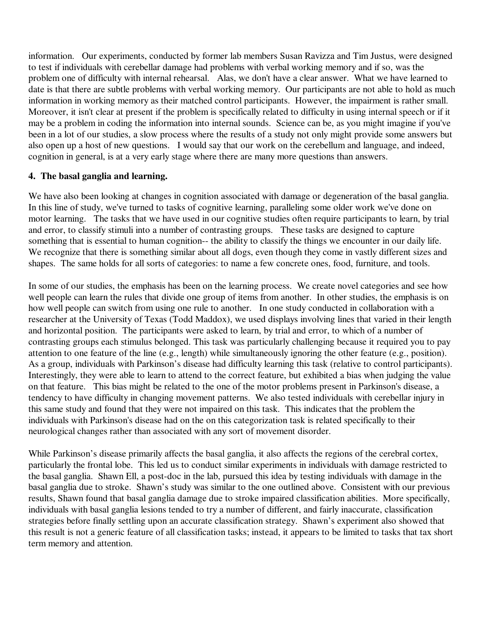information. Our experiments, conducted by former lab members Susan Ravizza and Tim Justus, were designed to test if individuals with cerebellar damage had problems with verbal working memory and if so, was the problem one of difficulty with internal rehearsal. Alas, we don't have a clear answer. What we have learned to date is that there are subtle problems with verbal working memory. Our participants are not able to hold as much information in working memory as their matched control participants. However, the impairment is rather small. Moreover, it isn't clear at present if the problem is specifically related to difficulty in using internal speech or if it may be a problem in coding the information into internal sounds. Science can be, as you might imagine if you've been in a lot of our studies, a slow process where the results of a study not only might provide some answers but also open up a host of new questions. I would say that our work on the cerebellum and language, and indeed, cognition in general, is at a very early stage where there are many more questions than answers.

# **4. The basal ganglia and learning.**

We have also been looking at changes in cognition associated with damage or degeneration of the basal ganglia. In this line of study, we've turned to tasks of cognitive learning, paralleling some older work we've done on motor learning. The tasks that we have used in our cognitive studies often require participants to learn, by trial and error, to classify stimuli into a number of contrasting groups. These tasks are designed to capture something that is essential to human cognition-- the ability to classify the things we encounter in our daily life. We recognize that there is something similar about all dogs, even though they come in vastly different sizes and shapes. The same holds for all sorts of categories: to name a few concrete ones, food, furniture, and tools.

In some of our studies, the emphasis has been on the learning process. We create novel categories and see how well people can learn the rules that divide one group of items from another. In other studies, the emphasis is on how well people can switch from using one rule to another. In one study conducted in collaboration with a researcher at the University of Texas (Todd Maddox), we used displays involving lines that varied in their length and horizontal position. The participants were asked to learn, by trial and error, to which of a number of contrasting groups each stimulus belonged. This task was particularly challenging because it required you to pay attention to one feature of the line (e.g., length) while simultaneously ignoring the other feature (e.g., position). As a group, individuals with Parkinson's disease had difficulty learning this task (relative to control participants). Interestingly, they were able to learn to attend to the correct feature, but exhibited a bias when judging the value on that feature. This bias might be related to the one of the motor problems present in Parkinson's disease, a tendency to have difficulty in changing movement patterns. We also tested individuals with cerebellar injury in this same study and found that they were not impaired on this task. This indicates that the problem the individuals with Parkinson's disease had on the on this categorization task is related specifically to their neurological changes rather than associated with any sort of movement disorder.

While Parkinson's disease primarily affects the basal ganglia, it also affects the regions of the cerebral cortex, particularly the frontal lobe. This led us to conduct similar experiments in individuals with damage restricted to the basal ganglia. Shawn Ell, a post-doc in the lab, pursued this idea by testing individuals with damage in the basal ganglia due to stroke. Shawn's study was similar to the one outlined above. Consistent with our previous results, Shawn found that basal ganglia damage due to stroke impaired classification abilities. More specifically, individuals with basal ganglia lesions tended to try a number of different, and fairly inaccurate, classification strategies before finally settling upon an accurate classification strategy. Shawn's experiment also showed that this result is not a generic feature of all classification tasks; instead, it appears to be limited to tasks that tax short term memory and attention.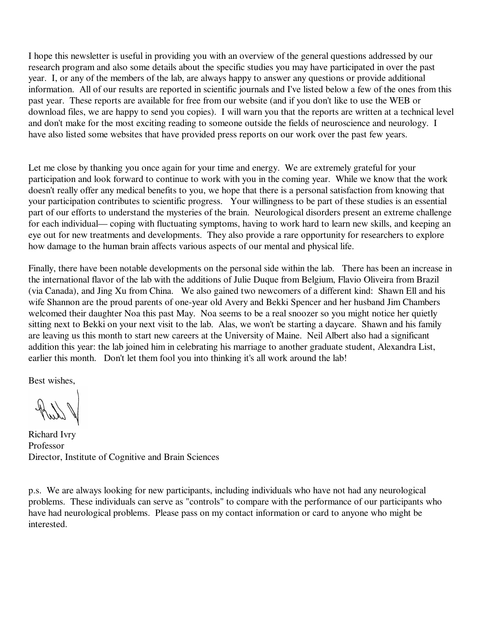I hope this newsletter is useful in providing you with an overview of the general questions addressed by our research program and also some details about the specific studies you may have participated in over the past year. I, or any of the members of the lab, are always happy to answer any questions or provide additional information. All of our results are reported in scientific journals and I've listed below a few of the ones from this past year. These reports are available for free from our website (and if you don't like to use the WEB or download files, we are happy to send you copies). I will warn you that the reports are written at a technical level and don't make for the most exciting reading to someone outside the fields of neuroscience and neurology. I have also listed some websites that have provided press reports on our work over the past few years.

Let me close by thanking you once again for your time and energy. We are extremely grateful for your participation and look forward to continue to work with you in the coming year. While we know that the work doesn't really offer any medical benefits to you, we hope that there is a personal satisfaction from knowing that your participation contributes to scientific progress. Your willingness to be part of these studies is an essential part of our efforts to understand the mysteries of the brain. Neurological disorders present an extreme challenge for each individual— coping with fluctuating symptoms, having to work hard to learn new skills, and keeping an eye out for new treatments and developments. They also provide a rare opportunity for researchers to explore how damage to the human brain affects various aspects of our mental and physical life.

Finally, there have been notable developments on the personal side within the lab. There has been an increase in the international flavor of the lab with the additions of Julie Duque from Belgium, Flavio Oliveira from Brazil (via Canada), and Jing Xu from China. We also gained two newcomers of a different kind: Shawn Ell and his wife Shannon are the proud parents of one-year old Avery and Bekki Spencer and her husband Jim Chambers welcomed their daughter Noa this past May. Noa seems to be a real snoozer so you might notice her quietly sitting next to Bekki on your next visit to the lab. Alas, we won't be starting a daycare. Shawn and his family are leaving us this month to start new careers at the University of Maine. Neil Albert also had a significant addition this year: the lab joined him in celebrating his marriage to another graduate student, Alexandra List, earlier this month. Don't let them fool you into thinking it's all work around the lab!

Best wishes,

Richard Ivry Professor Director, Institute of Cognitive and Brain Sciences

p.s. We are always looking for new participants, including individuals who have not had any neurological problems. These individuals can serve as "controls" to compare with the performance of our participants who have had neurological problems. Please pass on my contact information or card to anyone who might be interested.